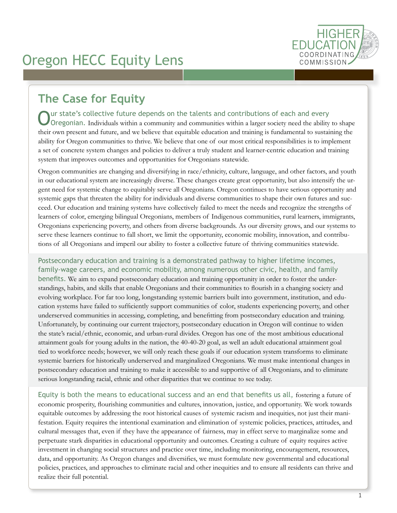

# **The Case for Equity**

ur state's collective future depends on the talents and contributions of each and every Oregonian. Individuals within a community and communities within a larger society need the ability to shape their own present and future, and we believe that equitable education and training is fundamental to sustaining the ability for Oregon communities to thrive. We believe that one of our most critical responsibilities is to implement a set of concrete system changes and policies to deliver a truly student and learner-centric education and training system that improves outcomes and opportunities for Oregonians statewide.

Oregon communities are changing and diversifying in race/ethnicity, culture, language, and other factors, and youth in our educational system are increasingly diverse. These changes create great opportunity, but also intensify the urgent need for systemic change to equitably serve all Oregonians. Oregon continues to have serious opportunity and systemic gaps that threaten the ability for individuals and diverse communities to shape their own futures and succeed. Our education and training systems have collectively failed to meet the needs and recognize the strengths of learners of color, emerging bilingual Oregonians, members of Indigenous communities, rural learners, immigrants, Oregonians experiencing poverty, and others from diverse backgrounds. As our diversity grows, and our systems to serve these learners continue to fall short, we limit the opportunity, economic mobility, innovation, and contributions of all Oregonians and imperil our ability to foster a collective future of thriving communities statewide.

Postsecondary education and training is a demonstrated pathway to higher lifetime incomes, family-wage careers, and economic mobility, among numerous other civic, health, and family benefits. We aim to expand postsecondary education and training opportunity in order to foster the understandings, habits, and skills that enable Oregonians and their communities to flourish in a changing society and evolving workplace. For far too long, longstanding systemic barriers built into government, institution, and education systems have failed to sufficiently support communities of color, students experiencing poverty, and other underserved communities in accessing, completing, and benefitting from postsecondary education and training. Unfortunately, by continuing our current trajectory, postsecondary education in Oregon will continue to widen the state's racial/ethnic, economic, and urban-rural divides. Oregon has one of the most ambitious educational attainment goals for young adults in the nation, the 40-40-20 goal, as well an adult educational attainment goal tied to workforce needs; however, we will only reach these goals if our education system transforms to eliminate systemic barriers for historically underserved and marginalized Oregonians. We must make intentional changes in postsecondary education and training to make it accessible to and supportive of all Oregonians, and to eliminate serious longstanding racial, ethnic and other disparities that we continue to see today.

Equity is both the means to educational success and an end that benefits us all, fostering a future of economic prosperity, flourishing communities and cultures, innovation, justice, and opportunity. We work towards equitable outcomes by addressing the root historical causes of systemic racism and inequities, not just their manifestation. Equity requires the intentional examination and elimination of systemic policies, practices, attitudes, and cultural messages that, even if they have the appearance of fairness, may in effect serve to marginalize some and perpetuate stark disparities in educational opportunity and outcomes. Creating a culture of equity requires active investment in changing social structures and practice over time, including monitoring, encouragement, resources, data, and opportunity. As Oregon changes and diversifies, we must formulate new governmental and educational policies, practices, and approaches to eliminate racial and other inequities and to ensure all residents can thrive and realize their full potential.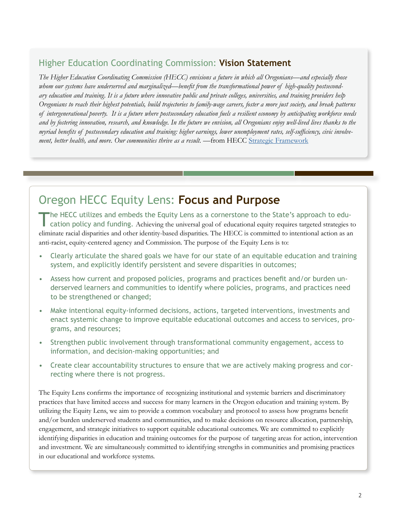#### Higher Education Coordinating Commission: **Vision Statement**

*The Higher Education Coordinating Commission (HECC) envisions a future in which all Oregonians—and especially those whom our systems have underserved and marginalized—benefit from the transformational power of high-quality postsecondary education and training. It is a future where innovative public and private colleges, universities, and training providers help Oregonians to reach their highest potentials, build trajectories to family-wage careers, foster a more just society, and break patterns of intergenerational poverty. It is a future where postsecondary education fuels a resilient economy by anticipating workforce needs and by fostering innovation, research, and knowledge. In the future we envision, all Oregonians enjoy well-lived lives thanks to the myriad benefits of postsecondary education and training: higher earnings, lower unemployment rates, self-sufficiency, civic involvement, better health, and more. Our communities thrive as a result. —*from HECC Strategic Framework

## Oregon HECC Equity Lens: **Focus and Purpose**

The HECC utilizes and embeds the Equity Lens as a cornerstone to the State's approach to education policy and funding. Achieving the universal goal of educational equity requires targeted strategies to eliminate racial disparities and other identity-based disparities. The HECC is committed to intentional action as an anti-racist, equity-centered agency and Commission. The purpose of the Equity Lens is to:

- Clearly articulate the shared goals we have for our state of an equitable education and training system, and explicitly identify persistent and severe disparities in outcomes;
- Assess how current and proposed policies, programs and practices benefit and/or burden underserved learners and communities to identify where policies, programs, and practices need to be strengthened or changed;
- Make intentional equity-informed decisions, actions, targeted interventions, investments and enact systemic change to improve equitable educational outcomes and access to services, programs, and resources;
- Strengthen public involvement through transformational community engagement, access to information, and decision-making opportunities; and
- Create clear accountability structures to ensure that we are actively making progress and correcting where there is not progress.

The Equity Lens confirms the importance of recognizing institutional and systemic barriers and discriminatory practices that have limited access and success for many learners in the Oregon education and training system. By utilizing the Equity Lens, we aim to provide a common vocabulary and protocol to assess how programs benefit and/or burden underserved students and communities, and to make decisions on resource allocation, partnership, engagement, and strategic initiatives to support equitable educational outcomes. We are committed to explicitly identifying disparities in education and training outcomes for the purpose of targeting areas for action, intervention and investment. We are simultaneously committed to identifying strengths in communities and promising practices in our educational and workforce systems.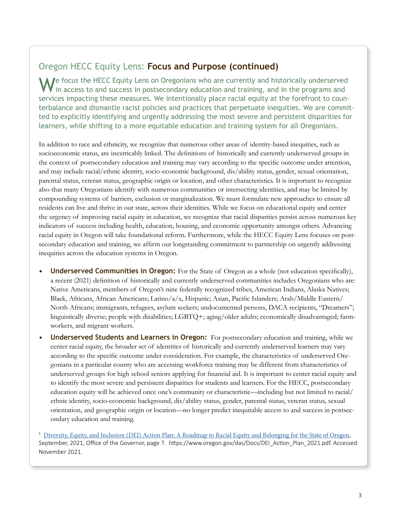#### Oregon HECC Equity Lens: **Focus and Purpose (continued)**

M Je focus the HECC Equity Lens on Oregonians who are currently and historically underserved in access to and success in postsecondary education and training, and in the programs and services impacting these measures. We intentionally place racial equity at the forefront to counterbalance and dismantle racist policies and practices that perpetuate inequities. We are committed to explicitly identifying and urgently addressing the most severe and persistent disparities for learners, while shifting to a more equitable education and training system for all Oregonians.

In addition to race and ethnicity, we recognize that numerous other areas of identity-based inequities, such as socioeconomic status, are inextricably linked. The definitions of historically and currently underserved groups in the context of postsecondary education and training may vary according to the specific outcome under attention, and may include racial/ethnic identity, socio-economic background, dis/ability status, gender, sexual orientation, parental status, veteran status, geographic origin or location, and other characteristics. It is important to recognize also that many Oregonians identify with numerous communities or intersecting identities, and may be limited by compounding systems of barriers, exclusion or marginalization. We must formulate new approaches to ensure all residents can live and thrive in our state, across their identities. While we focus on educational equity and center the urgency of improving racial equity in education, we recognize that racial disparities persist across numerous key indicators of success including health, education, housing, and economic opportunity amongst others. Advancing racial equity in Oregon will take foundational reform. Furthermore, while the HECC Equity Lens focuses on postsecondary education and training, we affirm our longstanding commitment to partnership on urgently addressing inequities across the education systems in Oregon.

- **• Underserved Communities in Oregon:** For the State of Oregon as a whole (not education specifically), a recent (2021) definition of historically and currently underserved communities includes Oregonians who are: Native Americans, members of Oregon's nine federally recognized tribes, American Indians, Alaska Natives; Black, Africans, African Americans; Latino/a/x, Hispanic; Asian, Pacific Islanders; Arab/Middle Eastern/ North Africans; immigrants, refugees, asylum seekers; undocumented persons, DACA recipients, "Dreamers"; linguistically diverse; people with disabilities; LGBTQ+; aging/older adults; economically disadvantaged; farmworkers, and migrant workers.<sup>1</sup>
- **• Underserved Students and Learners in Oregon:** For postsecondary education and training, while we center racial equity, the broader set of identities of historically and currently underserved learners may vary according to the specific outcome under consideration. For example, the characteristics of underserved Oregonians in a particular county who are accessing workforce training may be different from characteristics of underserved groups for high school seniors applying for financial aid. It is important to center racial equity and to identify the most severe and persistent disparities for students and learners. For the HECC, postsecondary education equity will be achieved once one's community or characteristic—including but not limited to racial/ ethnic identity, socio-economic background, dis/ability status, gender, parental status, veteran status, sexual orientation, and geographic origin or location—no longer predict inequitable access to and success in postsecondary education and training.

<sup>1</sup> Diversity, Equity, and Inclusion (DEI) Action Plan: A Roadmap to Racial Equity and Belonging for the State of Oregon, September, 2021, Office of the Governor, page 7. https://www.oregon.gov/das/Docs/DEI\_Action\_Plan\_2021.pdf. Accessed November 2021.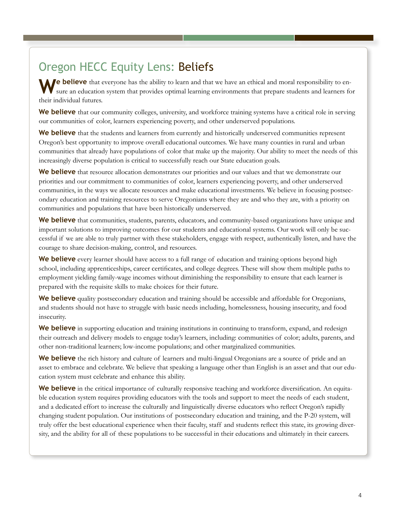# Oregon HECC Equity Lens: Beliefs

**Me believe** that everyone has the ability to learn and that we have an ethical and moral responsibility to ensure an education system that provides optimal learning environments that prepare students and learners for their individual futures.

**We believe** that our community colleges, university, and workforce training systems have a critical role in serving our communities of color, learners experiencing poverty, and other underserved populations.

We believe that the students and learners from currently and historically underserved communities represent Oregon's best opportunity to improve overall educational outcomes. We have many counties in rural and urban communities that already have populations of color that make up the majority. Our ability to meet the needs of this increasingly diverse population is critical to successfully reach our State education goals.

**We believe** that resource allocation demonstrates our priorities and our values and that we demonstrate our priorities and our commitment to communities of color, learners experiencing poverty, and other underserved communities, in the ways we allocate resources and make educational investments. We believe in focusing postsecondary education and training resources to serve Oregonians where they are and who they are, with a priority on communities and populations that have been historically underserved.

**We believe** that communities, students, parents, educators, and community-based organizations have unique and important solutions to improving outcomes for our students and educational systems. Our work will only be successful if we are able to truly partner with these stakeholders, engage with respect, authentically listen, and have the courage to share decision-making, control, and resources.

**We believe** every learner should have access to a full range of education and training options beyond high school, including apprenticeships, career certificates, and college degrees. These will show them multiple paths to employment yielding family-wage incomes without diminishing the responsibility to ensure that each learner is prepared with the requisite skills to make choices for their future.

**We believe** quality postsecondary education and training should be accessible and affordable for Oregonians, and students should not have to struggle with basic needs including, homelessness, housing insecurity, and food insecurity.

**We believe** in supporting education and training institutions in continuing to transform, expand, and redesign their outreach and delivery models to engage today's learners, including: communities of color; adults, parents, and other non-traditional learners; low-income populations; and other marginalized communities.

**We believe** the rich history and culture of learners and multi-lingual Oregonians are a source of pride and an asset to embrace and celebrate. We believe that speaking a language other than English is an asset and that our education system must celebrate and enhance this ability.

**We believe** in the critical importance of culturally responsive teaching and workforce diversification. An equitable education system requires providing educators with the tools and support to meet the needs of each student, and a dedicated effort to increase the culturally and linguistically diverse educators who reflect Oregon's rapidly changing student population. Our institutions of postsecondary education and training, and the P-20 system, will truly offer the best educational experience when their faculty, staff and students reflect this state, its growing diversity, and the ability for all of these populations to be successful in their educations and ultimately in their careers.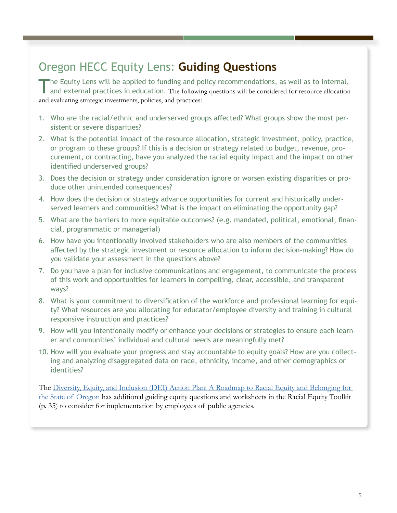## Oregon HECC Equity Lens: **Guiding Questions**

The Equity Lens will be applied to funding and policy recommendations, as well as to internal, and external practices in education. The following questions will be considered for resource allocation and evaluating strategic investments, policies, and practices:

- 1. Who are the racial/ethnic and underserved groups affected? What groups show the most persistent or severe disparities?
- 2. What is the potential impact of the resource allocation, strategic investment, policy, practice, or program to these groups? If this is a decision or strategy related to budget, revenue, procurement, or contracting, have you analyzed the racial equity impact and the impact on other identified underserved groups?
- 3. Does the decision or strategy under consideration ignore or worsen existing disparities or produce other unintended consequences?
- 4. How does the decision or strategy advance opportunities for current and historically underserved learners and communities? What is the impact on eliminating the opportunity gap?
- 5. What are the barriers to more equitable outcomes? (e.g. mandated, political, emotional, financial, programmatic or managerial)
- 6. How have you intentionally involved stakeholders who are also members of the communities affected by the strategic investment or resource allocation to inform decision-making? How do you validate your assessment in the questions above?
- 7. Do you have a plan for inclusive communications and engagement, to communicate the process of this work and opportunities for learners in compelling, clear, accessible, and transparent ways?
- 8. What is your commitment to diversification of the workforce and professional learning for equity? What resources are you allocating for educator/employee diversity and training in cultural responsive instruction and practices?
- 9. How will you intentionally modify or enhance your decisions or strategies to ensure each learner and communities' individual and cultural needs are meaningfully met?
- 10. How will you evaluate your progress and stay accountable to equity goals? How are you collecting and analyzing disaggregated data on race, ethnicity, income, and other demographics or identities?

The Diversity, Equity, and Inclusion (DEI) Action Plan: A Roadmap to Racial Equity and Belonging for the State of Oregon has additional guiding equity questions and worksheets in the Racial Equity Toolkit (p. 35) to consider for implementation by employees of public agencies.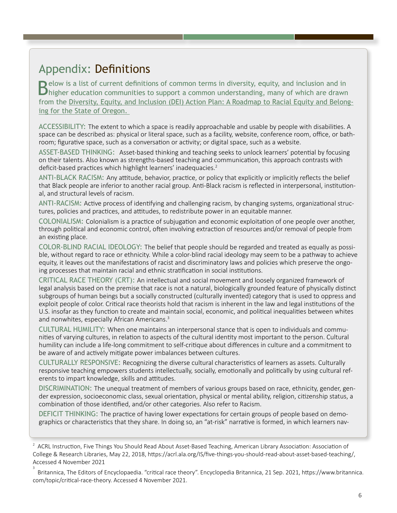### Appendix: Definitions

Below is a list of current definitions of common terms in diversity, equity, and inclusion and in higher education communities to support a common understanding, many of which are drawn from the Diversity, Equity, and Inclusion (DEI) Action Plan: A Roadmap to Racial Equity and Belonging for the State of Oregon.

ACCESSIBILITY: The extent to which a space is readily approachable and usable by people with disabilities. A space can be described as: physical or literal space, such as a facility, website, conference room, office, or bathroom; figurative space, such as a conversation or activity; or digital space, such as a website.

ASSET-BASED THINKING: Asset-based thinking and teaching seeks to unlock learners' potential by focusing on their talents. Also known as strengths-based teaching and communication, this approach contrasts with deficit-based practices which highlight learners' inadequacies.<sup>2</sup>

ANTI-BLACK RACISM: Any attitude, behavior, practice, or policy that explicitly or implicitly reflects the belief that Black people are inferior to another racial group. Anti-Black racism is reflected in interpersonal, institutional, and structural levels of racism.

ANTI-RACISM: Active process of identifying and challenging racism, by changing systems, organizational structures, policies and practices, and attitudes, to redistribute power in an equitable manner.

COLONIALISM: Colonialism is a practice of subjugation and economic exploitation of one people over another, through political and economic control, often involving extraction of resources and/or removal of people from an existing place.

COLOR-BLIND RACIAL IDEOLOGY: The belief that people should be regarded and treated as equally as possible, without regard to race or ethnicity. While a color-blind racial ideology may seem to be a pathway to achieve equity, it leaves out the manifestations of racist and discriminatory laws and policies which preserve the ongoing processes that maintain racial and ethnic stratification in social institutions.

CRITICAL RACE THEORY (CRT): An intellectual and social movement and loosely organized framework of legal analysis based on the premise that race is not a natural, biologically grounded feature of physically distinct subgroups of human beings but a socially constructed (culturally invented) category that is used to oppress and exploit people of color. Critical race theorists hold that racism is inherent in the law and legal institutions of the U.S. insofar as they function to create and maintain social, economic, and political inequalities between whites and nonwhites, especially African Americans.<sup>3</sup>

CULTURAL HUMILITY: When one maintains an interpersonal stance that is open to individuals and communities of varying cultures, in relation to aspects of the cultural identity most important to the person. Cultural humility can include a life-long commitment to self-critique about differences in culture and a commitment to be aware of and actively mitigate power imbalances between cultures.

CULTURALLY RESPONSIVE: Recognizing the diverse cultural characteristics of learners as assets. Culturally responsive teaching empowers students intellectually, socially, emotionally and politically by using cultural referents to impart knowledge, skills and attitudes.

DISCRIMINATION: The unequal treatment of members of various groups based on race, ethnicity, gender, gender expression, socioeconomic class, sexual orientation, physical or mental ability, religion, citizenship status, a combination of those identified, and/or other categories. Also refer to Racism.

DEFICIT THINKING: The practice of having lower expectations for certain groups of people based on demographics or characteristics that they share. In doing so, an "at-risk" narrative is formed, in which learners nav-

 $2$  ACRL Instruction, Five Things You Should Read About Asset-Based Teaching, American Library Association: Association of College & Research Libraries, May 22, 2018, https://acrl.ala.org/IS/five-things-you-should-read-about-asset-based-teaching/, Accessed 4 November 2021

<sup>3</sup> Britannica, The Editors of Encyclopaedia. "critical race theory". Encyclopedia Britannica, 21 Sep. 2021, https://www.britannica. com/topic/critical-race-theory. Accessed 4 November 2021.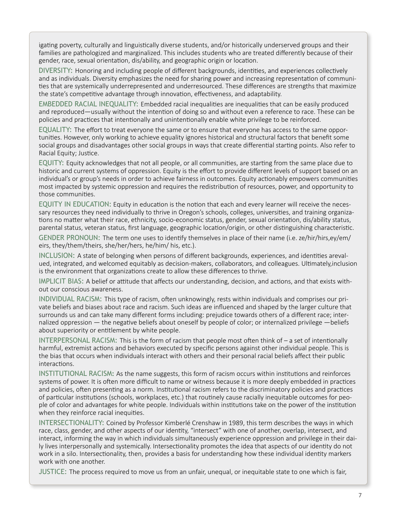igating poverty, culturally and linguistically diverse students, and/or historically underserved groups and their families are pathologized and marginalized. This includes students who are treated differently because of their gender, race, sexual orientation, dis/ability, and geographic origin or location.

DIVERSITY: Honoring and including people of different backgrounds, identities, and experiences collectively and as individuals. Diversity emphasizes the need for sharing power and increasing representation of communities that are systemically underrepresented and underresourced. These differences are strengths that maximize the state's competitive advantage through innovation, effectiveness, and adaptability.

EMBEDDED RACIAL INEQUALITY: Embedded racial inequalities are inequalities that can be easily produced and reproduced―usually without the intention of doing so and without even a reference to race. These can be policies and practices that intentionally and unintentionally enable white privilege to be reinforced.

EQUALITY: The effort to treat everyone the same or to ensure that everyone has access to the same opportunities. However, only working to achieve equality ignores historical and structural factors that benefit some social groups and disadvantages other social groups in ways that create differential starting points. Also refer to Racial Equity; Justice.

EQUITY: Equity acknowledges that not all people, or all communities, are starting from the same place due to historic and current systems of oppression. Equity is the effort to provide different levels of support based on an individual's or group's needs in order to achieve fairness in outcomes. Equity actionably empowers communities most impacted by systemic oppression and requires the redistribution of resources, power, and opportunity to those communities.

EQUITY IN EDUCATION: Equity in education is the notion that each and every learner will receive the necessary resources they need individually to thrive in Oregon's schools, colleges, universities, and training organizations no matter what their race, ethnicity, socio-economic status, gender, sexual orientation, dis/ability status, parental status, veteran status, first language, geographic location/origin, or other distinguishing characteristic.

GENDER PRONOUN: The term one uses to identify themselves in place of their name (i.e. ze/hir/hirs,ey/em/ eirs, they/them/theirs, she/her/hers, he/him/ his, etc.).

INCLUSION: A state of belonging when persons of different backgrounds, experiences, and identities arevalued, integrated, and welcomed equitably as decision-makers, collaborators, and colleagues. Ultimately,inclusion is the environment that organizations create to allow these differences to thrive.

IMPLICIT BIAS: A belief or attitude that affects our understanding, decision, and actions, and that exists without our conscious awareness.

INDIVIDUAL RACISM: This type of racism, often unknowingly, rests within individuals and comprises our private beliefs and biases about race and racism. Such ideas are influenced and shaped by the larger culture that surrounds us and can take many different forms including: prejudice towards others of a different race; internalized oppression — the negative beliefs about oneself by people of color; or internalized privilege —beliefs about superiority or entitlement by white people.

INTERPERSONAL RACISM: This is the form of racism that people most often think of – a set of intentionally harmful, extremist actions and behaviors executed by specific persons against other individual people. This is the bias that occurs when individuals interact with others and their personal racial beliefs affect their public interactions.

INSTITUTIONAL RACISM**:** As the name suggests, this form of racism occurs within institutions and reinforces systems of power. It is often more difficult to name or witness because it is more deeply embedded in practices and policies, often presenting as a norm. Institutional racism refers to the discriminatory policies and practices of particular institutions (schools, workplaces, etc.) that routinely cause racially inequitable outcomes for people of color and advantages for white people. Individuals within institutions take on the power of the institution when they reinforce racial inequities.

INTERSECTIONALITY: Coined by Professor Kimberlé Crenshaw in 1989, this term describes the ways in which race, class, gender, and other aspects of our identity, "intersect" with one of another, overlap, intersect, and interact, informing the way in which individuals simultaneously experience oppression and privilege in their daily lives interpersonally and systemically. Intersectionality promotes the idea that aspects of our identity do not work in a silo. Intersectionality, then, provides a basis for understanding how these individual identity markers work with one another.

JUSTICE: The process required to move us from an unfair, unequal, or inequitable state to one which is fair,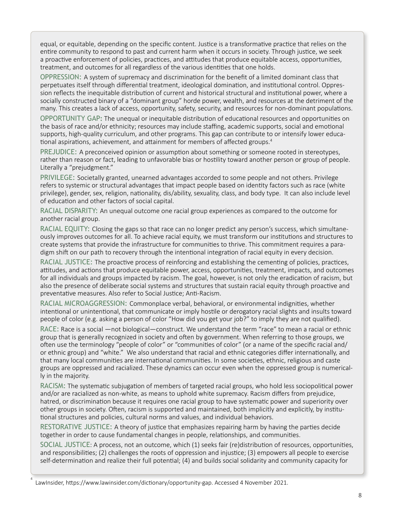equal, or equitable, depending on the specific content. Justice is a transformative practice that relies on the entire community to respond to past and current harm when it occurs in society. Through justice, we seek a proactive enforcement of policies, practices, and attitudes that produce equitable access, opportunities, treatment, and outcomes for all regardless of the various identities that one holds.

OPPRESSION: A system of supremacy and discrimination for the benefit of a limited dominant class that perpetuates itself through differential treatment, ideological domination, and institutional control. Oppression reflects the inequitable distribution of current and historical structural and institutional power, where a socially constructed binary of a "dominant group" horde power, wealth, and resources at the detriment of the many. This creates a lack of access, opportunity, safety, security, and resources for non-dominant populations.

OPPORTUNITY GAP**:** The unequal or inequitable distribution of educational resources and opportunities on the basis of race and/or ethnicity; resources may include staffing, academic supports, social and emotional supports, high-quality curriculum, and other programs. This gap can contribute to or intensify lower educational aspirations, achievement, and attainment for members of affected groups.<sup>4</sup>

PREJUDICE: A preconceived opinion or assumption about something or someone rooted in stereotypes, rather than reason or fact, leading to unfavorable bias or hostility toward another person or group of people. Literally a "prejudgment."

PRIVILEGE: Societally granted, unearned advantages accorded to some people and not others. Privilege refers to systemic or structural advantages that impact people based on identity factors such as race (white privilege), gender, sex, religion, nationality, dis/ability, sexuality, class, and body type. It can also include level of education and other factors of social capital.

RACIAL DISPARITY: An unequal outcome one racial group experiences as compared to the outcome for another racial group.

RACIAL EQUITY: Closing the gaps so that race can no longer predict any person's success, which simultaneously improves outcomes for all. To achieve racial equity, we must transform our institutions and structures to create systems that provide the infrastructure for communities to thrive. This commitment requires a paradigm shift on our path to recovery through the intentional integration of racial equity in every decision.

RACIAL JUSTICE: The proactive process of reinforcing and establishing the cementing of policies, practices, attitudes, and actions that produce equitable power, access, opportunities, treatment, impacts, and outcomes for all individuals and groups impacted by racism. The goal, however, is not only the eradication of racism, but also the presence of deliberate social systems and structures that sustain racial equity through proactive and preventative measures. Also refer to Social Justice; Anti-Racism.

RACIAL MICROAGGRESSION: Commonplace verbal, behavioral, or environmental indignities, whether intentional or unintentional, that communicate or imply hostile or derogatory racial slights and insults toward people of color (e.g. asking a person of color "How did you get your job?" to imply they are not qualified).

RACE: Race is a social —not biological—construct. We understand the term "race" to mean a racial or ethnic group that is generally recognized in society and often by government. When referring to those groups, we often use the terminology "people of color" or "communities of color" (or a name of the specific racial and/ or ethnic group) and "white." We also understand that racial and ethnic categories differ internationally, and that many local communities are international communities. In some societies, ethnic, religious and caste groups are oppressed and racialized. These dynamics can occur even when the oppressed group is numerically in the majority.

RACISM: The systematic subjugation of members of targeted racial groups, who hold less sociopolitical power and/or are racialized as non-white, as means to uphold white supremacy. Racism differs from prejudice, hatred, or discrimination because it requires one racial group to have systematic power and superiority over other groups in society. Often, racism is supported and maintained, both implicitly and explicitly, by institutional structures and policies, cultural norms and values, and individual behaviors.

RESTORATIVE JUSTICE: A theory of justice that emphasizes repairing harm by having the parties decide together in order to cause fundamental changes in people, relationships, and communities.

SOCIAL JUSTICE: A process, not an outcome, which (1) seeks fair (re)distribution of resources, opportunities, and responsibilities; (2) challenges the roots of oppression and injustice; (3) empowers all people to exercise self-determination and realize their full potential; (4) and builds social solidarity and community capacity for

LawInsider, https://www.lawinsider.com/dictionary/opportunity-gap. Accessed 4 November 2021.

4